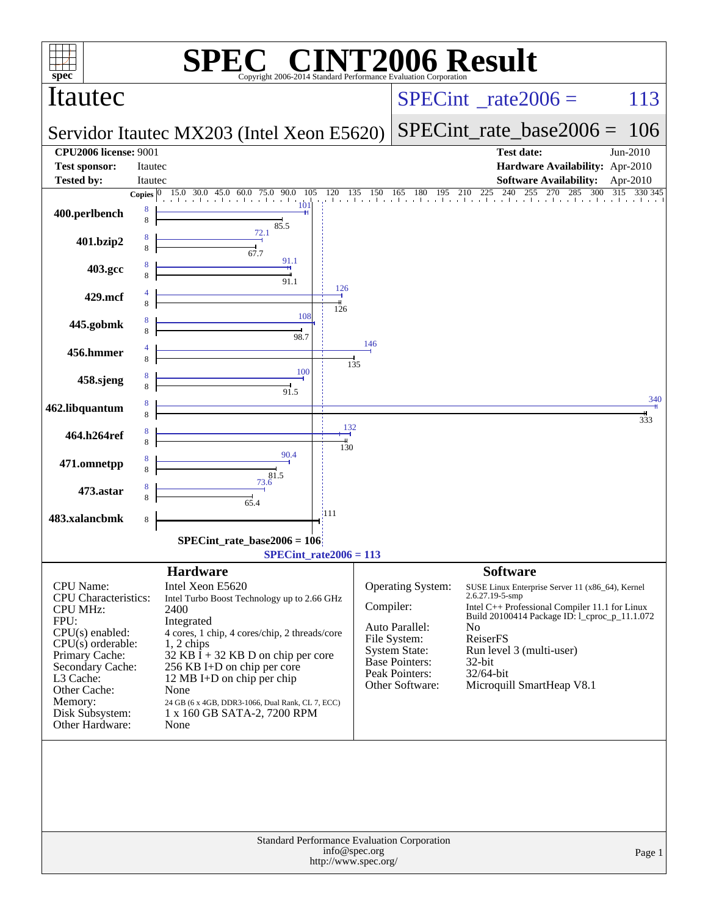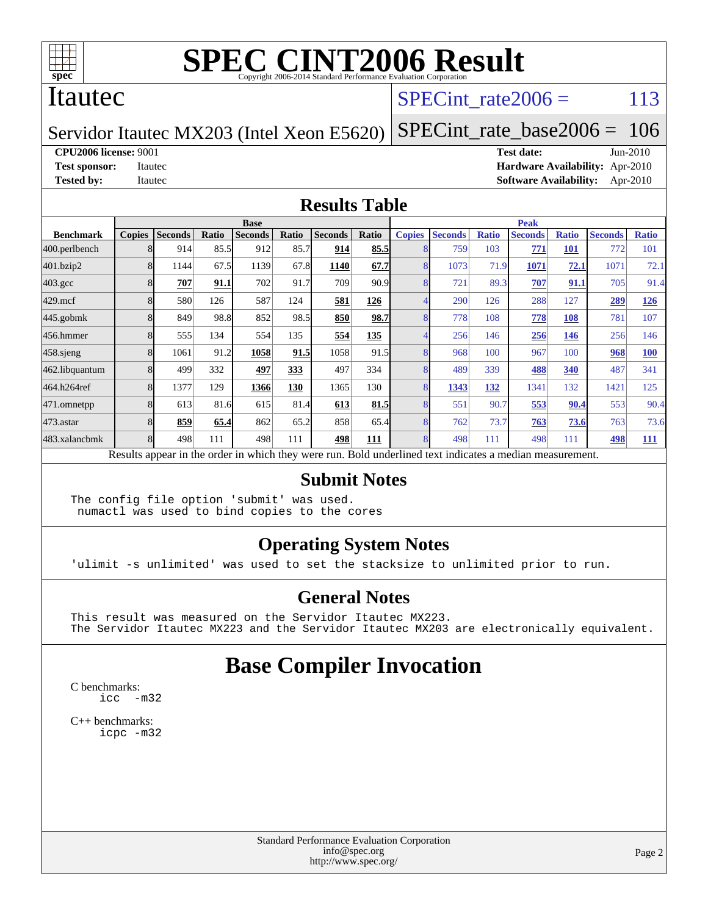

#### Itautec

### SPECint rate $2006 = 113$

#### Servidor Itautec MX203 (Intel Xeon E5620)

[SPECint\\_rate\\_base2006 =](http://www.spec.org/auto/cpu2006/Docs/result-fields.html#SPECintratebase2006) 106

**[CPU2006 license:](http://www.spec.org/auto/cpu2006/Docs/result-fields.html#CPU2006license)** 9001 **[Test date:](http://www.spec.org/auto/cpu2006/Docs/result-fields.html#Testdate)** Jun-2010

**[Test sponsor:](http://www.spec.org/auto/cpu2006/Docs/result-fields.html#Testsponsor)** Itautec **[Hardware Availability:](http://www.spec.org/auto/cpu2006/Docs/result-fields.html#HardwareAvailability)** Apr-2010 **[Tested by:](http://www.spec.org/auto/cpu2006/Docs/result-fields.html#Testedby)** Itautec **[Software Availability:](http://www.spec.org/auto/cpu2006/Docs/result-fields.html#SoftwareAvailability)** Apr-2010

#### **[Results Table](http://www.spec.org/auto/cpu2006/Docs/result-fields.html#ResultsTable)**

|                    | <b>Base</b>   |                                                                                                          |       |                |            |                |       | <b>Peak</b>   |                |              |                |              |                |              |
|--------------------|---------------|----------------------------------------------------------------------------------------------------------|-------|----------------|------------|----------------|-------|---------------|----------------|--------------|----------------|--------------|----------------|--------------|
| <b>Benchmark</b>   | <b>Copies</b> | <b>Seconds</b>                                                                                           | Ratio | <b>Seconds</b> | Ratio      | <b>Seconds</b> | Ratio | <b>Copies</b> | <b>Seconds</b> | <b>Ratio</b> | <b>Seconds</b> | <b>Ratio</b> | <b>Seconds</b> | <b>Ratio</b> |
| 400.perlbench      |               | 914                                                                                                      | 85.5  | 912            | 85.7       | 914            | 85.5  |               | 759            | 103          | 771            | <b>101</b>   | 772            | 101          |
| 401.bzip2          |               | 1144                                                                                                     | 67.5  | 1139           | 67.8       | 1140           | 67.7  |               | 1073           | 71.9         | 1071           | 72.1         | 1071           | 72.1         |
| $403.\mathrm{gcc}$ |               | 707                                                                                                      | 91.1  | 702            | 91.7       | 709            | 90.9  |               | 721            | 89.3         | 707            | 91.1         | 705            | 91.4         |
| $429$ .mcf         |               | 580                                                                                                      | 126   | 587            | 124        | 581            | 126   |               | 290            | 126          | 288            | 127          | 289            | 126          |
| $445$ .gobm $k$    |               | 849                                                                                                      | 98.8  | 852            | 98.5       | 850            | 98.7  |               | 778            | 108          | 778            | 108          | 781            | 107          |
| 456.hmmer          |               | 555                                                                                                      | 134   | 554            | 135        | 554            | 135   |               | 256            | 146          | 256            | 146          | 256            | 146          |
| $458$ .sjeng       |               | 1061                                                                                                     | 91.2  | 1058           | 91.5       | 1058           | 91.5  |               | 968            | 100          | 967            | 100          | 968            | <b>100</b>   |
| 462.libquantum     |               | 499                                                                                                      | 332   | 497            | <u>333</u> | 497            | 334   |               | 489            | 339          | 488            | <u>340</u>   | 487            | 341          |
| 464.h264ref        |               | 1377                                                                                                     | 129   | 1366           | 130        | 1365           | 130   |               | 1343           | 132          | 1341           | 132          | 1421           | 125          |
| 471.omnetpp        |               | 613                                                                                                      | 81.6  | 615            | 81.4       | 613            | 81.5  |               | 551            | 90.7         | 553            | 90.4         | 553            | 90.4         |
| 473.astar          |               | 859                                                                                                      | 65.4  | 862            | 65.2       | 858            | 65.4  |               | 762            | 73.7         | 763            | 73.6         | 763            | 73.6         |
| 483.xalancbmk      |               | 498                                                                                                      | 111   | 498            | 111        | 498            | 111   |               | 498            | 111          | 498            | 111          | 498            | <b>111</b>   |
|                    |               | Results appear in the order in which they were run. Bold underlined text indicates a median measurement. |       |                |            |                |       |               |                |              |                |              |                |              |

#### **[Submit Notes](http://www.spec.org/auto/cpu2006/Docs/result-fields.html#SubmitNotes)**

The config file option 'submit' was used. numactl was used to bind copies to the cores

#### **[Operating System Notes](http://www.spec.org/auto/cpu2006/Docs/result-fields.html#OperatingSystemNotes)**

'ulimit -s unlimited' was used to set the stacksize to unlimited prior to run.

#### **[General Notes](http://www.spec.org/auto/cpu2006/Docs/result-fields.html#GeneralNotes)**

This result was measured on the Servidor Itautec MX223. The Servidor Itautec MX223 and the Servidor Itautec MX203 are electronically equivalent.

## **[Base Compiler Invocation](http://www.spec.org/auto/cpu2006/Docs/result-fields.html#BaseCompilerInvocation)**

[C benchmarks](http://www.spec.org/auto/cpu2006/Docs/result-fields.html#Cbenchmarks): [icc -m32](http://www.spec.org/cpu2006/results/res2010q3/cpu2006-20100624-12017.flags.html#user_CCbase_intel_icc_32bit_5ff4a39e364c98233615fdd38438c6f2)

[C++ benchmarks:](http://www.spec.org/auto/cpu2006/Docs/result-fields.html#CXXbenchmarks) [icpc -m32](http://www.spec.org/cpu2006/results/res2010q3/cpu2006-20100624-12017.flags.html#user_CXXbase_intel_icpc_32bit_4e5a5ef1a53fd332b3c49e69c3330699)

> Standard Performance Evaluation Corporation [info@spec.org](mailto:info@spec.org) <http://www.spec.org/>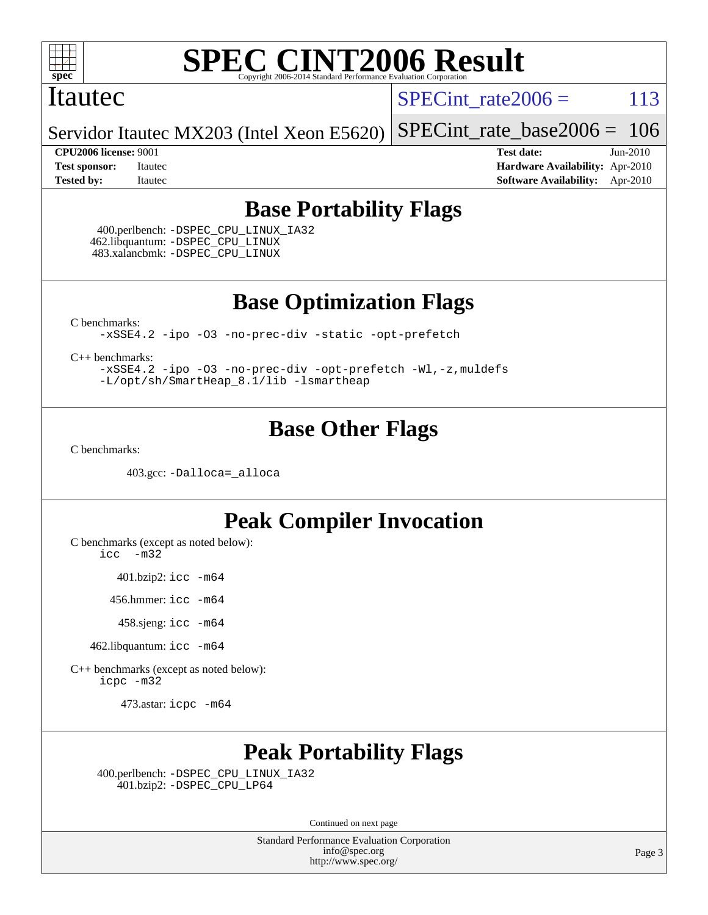

#### Itautec

SPECint rate $2006 = 113$ 

Servidor Itautec MX203 (Intel Xeon E5620) [SPECint\\_rate\\_base2006 =](http://www.spec.org/auto/cpu2006/Docs/result-fields.html#SPECintratebase2006) 106

**[CPU2006 license:](http://www.spec.org/auto/cpu2006/Docs/result-fields.html#CPU2006license)** 9001 **[Test date:](http://www.spec.org/auto/cpu2006/Docs/result-fields.html#Testdate)** Jun-2010 **[Test sponsor:](http://www.spec.org/auto/cpu2006/Docs/result-fields.html#Testsponsor)** Itautec **[Hardware Availability:](http://www.spec.org/auto/cpu2006/Docs/result-fields.html#HardwareAvailability)** Apr-2010 **[Tested by:](http://www.spec.org/auto/cpu2006/Docs/result-fields.html#Testedby)** Itautec **[Software Availability:](http://www.spec.org/auto/cpu2006/Docs/result-fields.html#SoftwareAvailability)** Apr-2010

## **[Base Portability Flags](http://www.spec.org/auto/cpu2006/Docs/result-fields.html#BasePortabilityFlags)**

 400.perlbench: [-DSPEC\\_CPU\\_LINUX\\_IA32](http://www.spec.org/cpu2006/results/res2010q3/cpu2006-20100624-12017.flags.html#b400.perlbench_baseCPORTABILITY_DSPEC_CPU_LINUX_IA32) 462.libquantum: [-DSPEC\\_CPU\\_LINUX](http://www.spec.org/cpu2006/results/res2010q3/cpu2006-20100624-12017.flags.html#b462.libquantum_baseCPORTABILITY_DSPEC_CPU_LINUX) 483.xalancbmk: [-DSPEC\\_CPU\\_LINUX](http://www.spec.org/cpu2006/results/res2010q3/cpu2006-20100624-12017.flags.html#b483.xalancbmk_baseCXXPORTABILITY_DSPEC_CPU_LINUX)

**[Base Optimization Flags](http://www.spec.org/auto/cpu2006/Docs/result-fields.html#BaseOptimizationFlags)**

[C benchmarks](http://www.spec.org/auto/cpu2006/Docs/result-fields.html#Cbenchmarks):

[-xSSE4.2](http://www.spec.org/cpu2006/results/res2010q3/cpu2006-20100624-12017.flags.html#user_CCbase_f-xSSE42_f91528193cf0b216347adb8b939d4107) [-ipo](http://www.spec.org/cpu2006/results/res2010q3/cpu2006-20100624-12017.flags.html#user_CCbase_f-ipo) [-O3](http://www.spec.org/cpu2006/results/res2010q3/cpu2006-20100624-12017.flags.html#user_CCbase_f-O3) [-no-prec-div](http://www.spec.org/cpu2006/results/res2010q3/cpu2006-20100624-12017.flags.html#user_CCbase_f-no-prec-div) [-static](http://www.spec.org/cpu2006/results/res2010q3/cpu2006-20100624-12017.flags.html#user_CCbase_f-static) [-opt-prefetch](http://www.spec.org/cpu2006/results/res2010q3/cpu2006-20100624-12017.flags.html#user_CCbase_f-opt-prefetch)

[C++ benchmarks:](http://www.spec.org/auto/cpu2006/Docs/result-fields.html#CXXbenchmarks)

[-xSSE4.2](http://www.spec.org/cpu2006/results/res2010q3/cpu2006-20100624-12017.flags.html#user_CXXbase_f-xSSE42_f91528193cf0b216347adb8b939d4107) [-ipo](http://www.spec.org/cpu2006/results/res2010q3/cpu2006-20100624-12017.flags.html#user_CXXbase_f-ipo) [-O3](http://www.spec.org/cpu2006/results/res2010q3/cpu2006-20100624-12017.flags.html#user_CXXbase_f-O3) [-no-prec-div](http://www.spec.org/cpu2006/results/res2010q3/cpu2006-20100624-12017.flags.html#user_CXXbase_f-no-prec-div) [-opt-prefetch](http://www.spec.org/cpu2006/results/res2010q3/cpu2006-20100624-12017.flags.html#user_CXXbase_f-opt-prefetch) [-Wl,-z,muldefs](http://www.spec.org/cpu2006/results/res2010q3/cpu2006-20100624-12017.flags.html#user_CXXbase_link_force_multiple1_74079c344b956b9658436fd1b6dd3a8a) [-L/opt/sh/SmartHeap\\_8.1/lib -lsmartheap](http://www.spec.org/cpu2006/results/res2010q3/cpu2006-20100624-12017.flags.html#user_CXXbase_SmartHeap_27b21c95f540fefa7d7530e3b3d64269)

## **[Base Other Flags](http://www.spec.org/auto/cpu2006/Docs/result-fields.html#BaseOtherFlags)**

[C benchmarks](http://www.spec.org/auto/cpu2006/Docs/result-fields.html#Cbenchmarks):

403.gcc: [-Dalloca=\\_alloca](http://www.spec.org/cpu2006/results/res2010q3/cpu2006-20100624-12017.flags.html#b403.gcc_baseEXTRA_CFLAGS_Dalloca_be3056838c12de2578596ca5467af7f3)

## **[Peak Compiler Invocation](http://www.spec.org/auto/cpu2006/Docs/result-fields.html#PeakCompilerInvocation)**

[C benchmarks \(except as noted below\)](http://www.spec.org/auto/cpu2006/Docs/result-fields.html#Cbenchmarksexceptasnotedbelow):

[icc -m32](http://www.spec.org/cpu2006/results/res2010q3/cpu2006-20100624-12017.flags.html#user_CCpeak_intel_icc_32bit_5ff4a39e364c98233615fdd38438c6f2)

401.bzip2: [icc -m64](http://www.spec.org/cpu2006/results/res2010q3/cpu2006-20100624-12017.flags.html#user_peakCCLD401_bzip2_intel_icc_64bit_bda6cc9af1fdbb0edc3795bac97ada53)

456.hmmer: [icc -m64](http://www.spec.org/cpu2006/results/res2010q3/cpu2006-20100624-12017.flags.html#user_peakCCLD456_hmmer_intel_icc_64bit_bda6cc9af1fdbb0edc3795bac97ada53)

458.sjeng: [icc -m64](http://www.spec.org/cpu2006/results/res2010q3/cpu2006-20100624-12017.flags.html#user_peakCCLD458_sjeng_intel_icc_64bit_bda6cc9af1fdbb0edc3795bac97ada53)

462.libquantum: [icc -m64](http://www.spec.org/cpu2006/results/res2010q3/cpu2006-20100624-12017.flags.html#user_peakCCLD462_libquantum_intel_icc_64bit_bda6cc9af1fdbb0edc3795bac97ada53)

[C++ benchmarks \(except as noted below\):](http://www.spec.org/auto/cpu2006/Docs/result-fields.html#CXXbenchmarksexceptasnotedbelow) [icpc -m32](http://www.spec.org/cpu2006/results/res2010q3/cpu2006-20100624-12017.flags.html#user_CXXpeak_intel_icpc_32bit_4e5a5ef1a53fd332b3c49e69c3330699)

473.astar: [icpc -m64](http://www.spec.org/cpu2006/results/res2010q3/cpu2006-20100624-12017.flags.html#user_peakCXXLD473_astar_intel_icpc_64bit_fc66a5337ce925472a5c54ad6a0de310)

## **[Peak Portability Flags](http://www.spec.org/auto/cpu2006/Docs/result-fields.html#PeakPortabilityFlags)**

 400.perlbench: [-DSPEC\\_CPU\\_LINUX\\_IA32](http://www.spec.org/cpu2006/results/res2010q3/cpu2006-20100624-12017.flags.html#b400.perlbench_peakCPORTABILITY_DSPEC_CPU_LINUX_IA32) 401.bzip2: [-DSPEC\\_CPU\\_LP64](http://www.spec.org/cpu2006/results/res2010q3/cpu2006-20100624-12017.flags.html#suite_peakCPORTABILITY401_bzip2_DSPEC_CPU_LP64)

Continued on next page

Standard Performance Evaluation Corporation [info@spec.org](mailto:info@spec.org) <http://www.spec.org/>

Page 3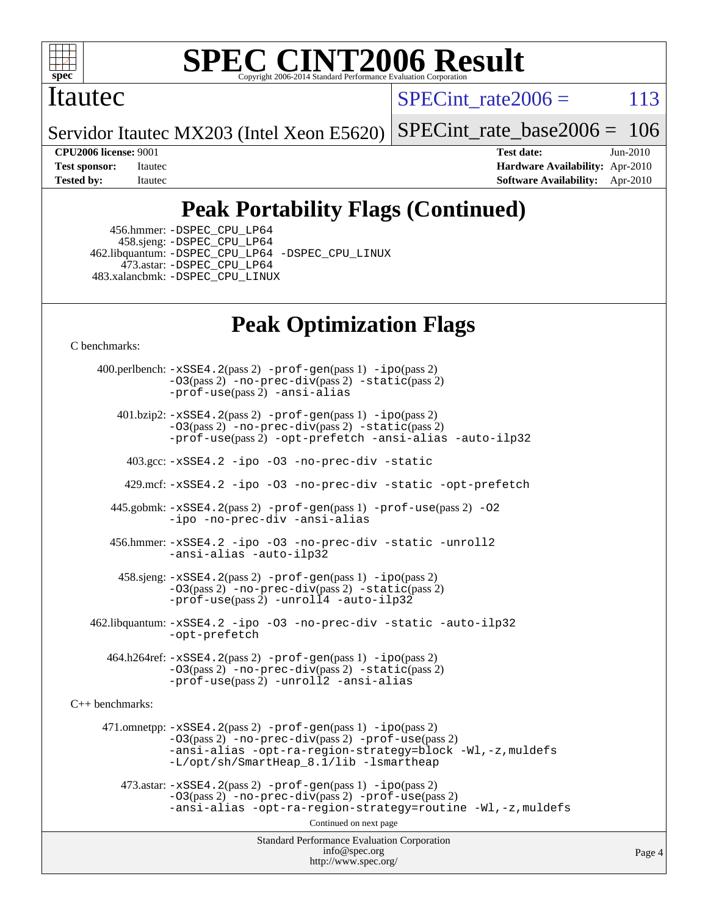

### Itautec

SPECint rate $2006 = 113$ 

Servidor Itautec MX203 (Intel Xeon E5620) [SPECint\\_rate\\_base2006 =](http://www.spec.org/auto/cpu2006/Docs/result-fields.html#SPECintratebase2006) 106

**[CPU2006 license:](http://www.spec.org/auto/cpu2006/Docs/result-fields.html#CPU2006license)** 9001 **[Test date:](http://www.spec.org/auto/cpu2006/Docs/result-fields.html#Testdate)** Jun-2010 **[Test sponsor:](http://www.spec.org/auto/cpu2006/Docs/result-fields.html#Testsponsor)** Itautec **[Hardware Availability:](http://www.spec.org/auto/cpu2006/Docs/result-fields.html#HardwareAvailability)** Apr-2010 **[Tested by:](http://www.spec.org/auto/cpu2006/Docs/result-fields.html#Testedby)** Itautec **[Software Availability:](http://www.spec.org/auto/cpu2006/Docs/result-fields.html#SoftwareAvailability)** Apr-2010

## **[Peak Portability Flags \(Continued\)](http://www.spec.org/auto/cpu2006/Docs/result-fields.html#PeakPortabilityFlags)**

 456.hmmer: [-DSPEC\\_CPU\\_LP64](http://www.spec.org/cpu2006/results/res2010q3/cpu2006-20100624-12017.flags.html#suite_peakCPORTABILITY456_hmmer_DSPEC_CPU_LP64) 458.sjeng: [-DSPEC\\_CPU\\_LP64](http://www.spec.org/cpu2006/results/res2010q3/cpu2006-20100624-12017.flags.html#suite_peakCPORTABILITY458_sjeng_DSPEC_CPU_LP64) 462.libquantum: [-DSPEC\\_CPU\\_LP64](http://www.spec.org/cpu2006/results/res2010q3/cpu2006-20100624-12017.flags.html#suite_peakCPORTABILITY462_libquantum_DSPEC_CPU_LP64) [-DSPEC\\_CPU\\_LINUX](http://www.spec.org/cpu2006/results/res2010q3/cpu2006-20100624-12017.flags.html#b462.libquantum_peakCPORTABILITY_DSPEC_CPU_LINUX) 473.astar: [-DSPEC\\_CPU\\_LP64](http://www.spec.org/cpu2006/results/res2010q3/cpu2006-20100624-12017.flags.html#suite_peakCXXPORTABILITY473_astar_DSPEC_CPU_LP64) 483.xalancbmk: [-DSPEC\\_CPU\\_LINUX](http://www.spec.org/cpu2006/results/res2010q3/cpu2006-20100624-12017.flags.html#b483.xalancbmk_peakCXXPORTABILITY_DSPEC_CPU_LINUX)

## **[Peak Optimization Flags](http://www.spec.org/auto/cpu2006/Docs/result-fields.html#PeakOptimizationFlags)**

[C benchmarks](http://www.spec.org/auto/cpu2006/Docs/result-fields.html#Cbenchmarks):

Standard Performance Evaluation Corporation [info@spec.org](mailto:info@spec.org) <http://www.spec.org/> Page 4 400.perlbench: [-xSSE4.2](http://www.spec.org/cpu2006/results/res2010q3/cpu2006-20100624-12017.flags.html#user_peakPASS2_CFLAGSPASS2_LDCFLAGS400_perlbench_f-xSSE42_f91528193cf0b216347adb8b939d4107)(pass 2) [-prof-gen](http://www.spec.org/cpu2006/results/res2010q3/cpu2006-20100624-12017.flags.html#user_peakPASS1_CFLAGSPASS1_LDCFLAGS400_perlbench_prof_gen_e43856698f6ca7b7e442dfd80e94a8fc)(pass 1) [-ipo](http://www.spec.org/cpu2006/results/res2010q3/cpu2006-20100624-12017.flags.html#user_peakPASS2_CFLAGSPASS2_LDCFLAGS400_perlbench_f-ipo)(pass 2) [-O3](http://www.spec.org/cpu2006/results/res2010q3/cpu2006-20100624-12017.flags.html#user_peakPASS2_CFLAGSPASS2_LDCFLAGS400_perlbench_f-O3)(pass 2) [-no-prec-div](http://www.spec.org/cpu2006/results/res2010q3/cpu2006-20100624-12017.flags.html#user_peakPASS2_CFLAGSPASS2_LDCFLAGS400_perlbench_f-no-prec-div)(pass 2) [-static](http://www.spec.org/cpu2006/results/res2010q3/cpu2006-20100624-12017.flags.html#user_peakPASS2_CFLAGSPASS2_LDCFLAGS400_perlbench_f-static)(pass 2) [-prof-use](http://www.spec.org/cpu2006/results/res2010q3/cpu2006-20100624-12017.flags.html#user_peakPASS2_CFLAGSPASS2_LDCFLAGS400_perlbench_prof_use_bccf7792157ff70d64e32fe3e1250b55)(pass 2) [-ansi-alias](http://www.spec.org/cpu2006/results/res2010q3/cpu2006-20100624-12017.flags.html#user_peakCOPTIMIZE400_perlbench_f-ansi-alias) 401.bzip2: [-xSSE4.2](http://www.spec.org/cpu2006/results/res2010q3/cpu2006-20100624-12017.flags.html#user_peakPASS2_CFLAGSPASS2_LDCFLAGS401_bzip2_f-xSSE42_f91528193cf0b216347adb8b939d4107)(pass 2) [-prof-gen](http://www.spec.org/cpu2006/results/res2010q3/cpu2006-20100624-12017.flags.html#user_peakPASS1_CFLAGSPASS1_LDCFLAGS401_bzip2_prof_gen_e43856698f6ca7b7e442dfd80e94a8fc)(pass 1) [-ipo](http://www.spec.org/cpu2006/results/res2010q3/cpu2006-20100624-12017.flags.html#user_peakPASS2_CFLAGSPASS2_LDCFLAGS401_bzip2_f-ipo)(pass 2) [-O3](http://www.spec.org/cpu2006/results/res2010q3/cpu2006-20100624-12017.flags.html#user_peakPASS2_CFLAGSPASS2_LDCFLAGS401_bzip2_f-O3)(pass 2) [-no-prec-div](http://www.spec.org/cpu2006/results/res2010q3/cpu2006-20100624-12017.flags.html#user_peakPASS2_CFLAGSPASS2_LDCFLAGS401_bzip2_f-no-prec-div)(pass 2) [-static](http://www.spec.org/cpu2006/results/res2010q3/cpu2006-20100624-12017.flags.html#user_peakPASS2_CFLAGSPASS2_LDCFLAGS401_bzip2_f-static)(pass 2) [-prof-use](http://www.spec.org/cpu2006/results/res2010q3/cpu2006-20100624-12017.flags.html#user_peakPASS2_CFLAGSPASS2_LDCFLAGS401_bzip2_prof_use_bccf7792157ff70d64e32fe3e1250b55)(pass 2) [-opt-prefetch](http://www.spec.org/cpu2006/results/res2010q3/cpu2006-20100624-12017.flags.html#user_peakCOPTIMIZE401_bzip2_f-opt-prefetch) [-ansi-alias](http://www.spec.org/cpu2006/results/res2010q3/cpu2006-20100624-12017.flags.html#user_peakCOPTIMIZE401_bzip2_f-ansi-alias) [-auto-ilp32](http://www.spec.org/cpu2006/results/res2010q3/cpu2006-20100624-12017.flags.html#user_peakCOPTIMIZE401_bzip2_f-auto-ilp32) 403.gcc: [-xSSE4.2](http://www.spec.org/cpu2006/results/res2010q3/cpu2006-20100624-12017.flags.html#user_peakCOPTIMIZE403_gcc_f-xSSE42_f91528193cf0b216347adb8b939d4107) [-ipo](http://www.spec.org/cpu2006/results/res2010q3/cpu2006-20100624-12017.flags.html#user_peakCOPTIMIZE403_gcc_f-ipo) [-O3](http://www.spec.org/cpu2006/results/res2010q3/cpu2006-20100624-12017.flags.html#user_peakCOPTIMIZE403_gcc_f-O3) [-no-prec-div](http://www.spec.org/cpu2006/results/res2010q3/cpu2006-20100624-12017.flags.html#user_peakCOPTIMIZE403_gcc_f-no-prec-div) [-static](http://www.spec.org/cpu2006/results/res2010q3/cpu2006-20100624-12017.flags.html#user_peakCOPTIMIZE403_gcc_f-static) 429.mcf: [-xSSE4.2](http://www.spec.org/cpu2006/results/res2010q3/cpu2006-20100624-12017.flags.html#user_peakCOPTIMIZE429_mcf_f-xSSE42_f91528193cf0b216347adb8b939d4107) [-ipo](http://www.spec.org/cpu2006/results/res2010q3/cpu2006-20100624-12017.flags.html#user_peakCOPTIMIZE429_mcf_f-ipo) [-O3](http://www.spec.org/cpu2006/results/res2010q3/cpu2006-20100624-12017.flags.html#user_peakCOPTIMIZE429_mcf_f-O3) [-no-prec-div](http://www.spec.org/cpu2006/results/res2010q3/cpu2006-20100624-12017.flags.html#user_peakCOPTIMIZE429_mcf_f-no-prec-div) [-static](http://www.spec.org/cpu2006/results/res2010q3/cpu2006-20100624-12017.flags.html#user_peakCOPTIMIZE429_mcf_f-static) [-opt-prefetch](http://www.spec.org/cpu2006/results/res2010q3/cpu2006-20100624-12017.flags.html#user_peakCOPTIMIZE429_mcf_f-opt-prefetch) 445.gobmk: [-xSSE4.2](http://www.spec.org/cpu2006/results/res2010q3/cpu2006-20100624-12017.flags.html#user_peakPASS2_CFLAGSPASS2_LDCFLAGS445_gobmk_f-xSSE42_f91528193cf0b216347adb8b939d4107)(pass 2) [-prof-gen](http://www.spec.org/cpu2006/results/res2010q3/cpu2006-20100624-12017.flags.html#user_peakPASS1_CFLAGSPASS1_LDCFLAGS445_gobmk_prof_gen_e43856698f6ca7b7e442dfd80e94a8fc)(pass 1) [-prof-use](http://www.spec.org/cpu2006/results/res2010q3/cpu2006-20100624-12017.flags.html#user_peakPASS2_CFLAGSPASS2_LDCFLAGS445_gobmk_prof_use_bccf7792157ff70d64e32fe3e1250b55)(pass 2) [-O2](http://www.spec.org/cpu2006/results/res2010q3/cpu2006-20100624-12017.flags.html#user_peakCOPTIMIZE445_gobmk_f-O2) [-ipo](http://www.spec.org/cpu2006/results/res2010q3/cpu2006-20100624-12017.flags.html#user_peakCOPTIMIZE445_gobmk_f-ipo) [-no-prec-div](http://www.spec.org/cpu2006/results/res2010q3/cpu2006-20100624-12017.flags.html#user_peakCOPTIMIZE445_gobmk_f-no-prec-div) [-ansi-alias](http://www.spec.org/cpu2006/results/res2010q3/cpu2006-20100624-12017.flags.html#user_peakCOPTIMIZE445_gobmk_f-ansi-alias) 456.hmmer: [-xSSE4.2](http://www.spec.org/cpu2006/results/res2010q3/cpu2006-20100624-12017.flags.html#user_peakCOPTIMIZE456_hmmer_f-xSSE42_f91528193cf0b216347adb8b939d4107) [-ipo](http://www.spec.org/cpu2006/results/res2010q3/cpu2006-20100624-12017.flags.html#user_peakCOPTIMIZE456_hmmer_f-ipo) [-O3](http://www.spec.org/cpu2006/results/res2010q3/cpu2006-20100624-12017.flags.html#user_peakCOPTIMIZE456_hmmer_f-O3) [-no-prec-div](http://www.spec.org/cpu2006/results/res2010q3/cpu2006-20100624-12017.flags.html#user_peakCOPTIMIZE456_hmmer_f-no-prec-div) [-static](http://www.spec.org/cpu2006/results/res2010q3/cpu2006-20100624-12017.flags.html#user_peakCOPTIMIZE456_hmmer_f-static) [-unroll2](http://www.spec.org/cpu2006/results/res2010q3/cpu2006-20100624-12017.flags.html#user_peakCOPTIMIZE456_hmmer_f-unroll_784dae83bebfb236979b41d2422d7ec2) [-ansi-alias](http://www.spec.org/cpu2006/results/res2010q3/cpu2006-20100624-12017.flags.html#user_peakCOPTIMIZE456_hmmer_f-ansi-alias) [-auto-ilp32](http://www.spec.org/cpu2006/results/res2010q3/cpu2006-20100624-12017.flags.html#user_peakCOPTIMIZE456_hmmer_f-auto-ilp32) 458.sjeng: [-xSSE4.2](http://www.spec.org/cpu2006/results/res2010q3/cpu2006-20100624-12017.flags.html#user_peakPASS2_CFLAGSPASS2_LDCFLAGS458_sjeng_f-xSSE42_f91528193cf0b216347adb8b939d4107)(pass 2) [-prof-gen](http://www.spec.org/cpu2006/results/res2010q3/cpu2006-20100624-12017.flags.html#user_peakPASS1_CFLAGSPASS1_LDCFLAGS458_sjeng_prof_gen_e43856698f6ca7b7e442dfd80e94a8fc)(pass 1) [-ipo](http://www.spec.org/cpu2006/results/res2010q3/cpu2006-20100624-12017.flags.html#user_peakPASS2_CFLAGSPASS2_LDCFLAGS458_sjeng_f-ipo)(pass 2) [-O3](http://www.spec.org/cpu2006/results/res2010q3/cpu2006-20100624-12017.flags.html#user_peakPASS2_CFLAGSPASS2_LDCFLAGS458_sjeng_f-O3)(pass 2) [-no-prec-div](http://www.spec.org/cpu2006/results/res2010q3/cpu2006-20100624-12017.flags.html#user_peakPASS2_CFLAGSPASS2_LDCFLAGS458_sjeng_f-no-prec-div)(pass 2) [-static](http://www.spec.org/cpu2006/results/res2010q3/cpu2006-20100624-12017.flags.html#user_peakPASS2_CFLAGSPASS2_LDCFLAGS458_sjeng_f-static)(pass 2) [-prof-use](http://www.spec.org/cpu2006/results/res2010q3/cpu2006-20100624-12017.flags.html#user_peakPASS2_CFLAGSPASS2_LDCFLAGS458_sjeng_prof_use_bccf7792157ff70d64e32fe3e1250b55)(pass 2) [-unroll4](http://www.spec.org/cpu2006/results/res2010q3/cpu2006-20100624-12017.flags.html#user_peakCOPTIMIZE458_sjeng_f-unroll_4e5e4ed65b7fd20bdcd365bec371b81f) [-auto-ilp32](http://www.spec.org/cpu2006/results/res2010q3/cpu2006-20100624-12017.flags.html#user_peakCOPTIMIZE458_sjeng_f-auto-ilp32) 462.libquantum: [-xSSE4.2](http://www.spec.org/cpu2006/results/res2010q3/cpu2006-20100624-12017.flags.html#user_peakCOPTIMIZE462_libquantum_f-xSSE42_f91528193cf0b216347adb8b939d4107) [-ipo](http://www.spec.org/cpu2006/results/res2010q3/cpu2006-20100624-12017.flags.html#user_peakCOPTIMIZE462_libquantum_f-ipo) [-O3](http://www.spec.org/cpu2006/results/res2010q3/cpu2006-20100624-12017.flags.html#user_peakCOPTIMIZE462_libquantum_f-O3) [-no-prec-div](http://www.spec.org/cpu2006/results/res2010q3/cpu2006-20100624-12017.flags.html#user_peakCOPTIMIZE462_libquantum_f-no-prec-div) [-static](http://www.spec.org/cpu2006/results/res2010q3/cpu2006-20100624-12017.flags.html#user_peakCOPTIMIZE462_libquantum_f-static) [-auto-ilp32](http://www.spec.org/cpu2006/results/res2010q3/cpu2006-20100624-12017.flags.html#user_peakCOPTIMIZE462_libquantum_f-auto-ilp32) [-opt-prefetch](http://www.spec.org/cpu2006/results/res2010q3/cpu2006-20100624-12017.flags.html#user_peakCOPTIMIZE462_libquantum_f-opt-prefetch) 464.h264ref: [-xSSE4.2](http://www.spec.org/cpu2006/results/res2010q3/cpu2006-20100624-12017.flags.html#user_peakPASS2_CFLAGSPASS2_LDCFLAGS464_h264ref_f-xSSE42_f91528193cf0b216347adb8b939d4107)(pass 2) [-prof-gen](http://www.spec.org/cpu2006/results/res2010q3/cpu2006-20100624-12017.flags.html#user_peakPASS1_CFLAGSPASS1_LDCFLAGS464_h264ref_prof_gen_e43856698f6ca7b7e442dfd80e94a8fc)(pass 1) [-ipo](http://www.spec.org/cpu2006/results/res2010q3/cpu2006-20100624-12017.flags.html#user_peakPASS2_CFLAGSPASS2_LDCFLAGS464_h264ref_f-ipo)(pass 2) [-O3](http://www.spec.org/cpu2006/results/res2010q3/cpu2006-20100624-12017.flags.html#user_peakPASS2_CFLAGSPASS2_LDCFLAGS464_h264ref_f-O3)(pass 2) [-no-prec-div](http://www.spec.org/cpu2006/results/res2010q3/cpu2006-20100624-12017.flags.html#user_peakPASS2_CFLAGSPASS2_LDCFLAGS464_h264ref_f-no-prec-div)(pass 2) [-static](http://www.spec.org/cpu2006/results/res2010q3/cpu2006-20100624-12017.flags.html#user_peakPASS2_CFLAGSPASS2_LDCFLAGS464_h264ref_f-static)(pass 2) [-prof-use](http://www.spec.org/cpu2006/results/res2010q3/cpu2006-20100624-12017.flags.html#user_peakPASS2_CFLAGSPASS2_LDCFLAGS464_h264ref_prof_use_bccf7792157ff70d64e32fe3e1250b55)(pass 2) [-unroll2](http://www.spec.org/cpu2006/results/res2010q3/cpu2006-20100624-12017.flags.html#user_peakCOPTIMIZE464_h264ref_f-unroll_784dae83bebfb236979b41d2422d7ec2) [-ansi-alias](http://www.spec.org/cpu2006/results/res2010q3/cpu2006-20100624-12017.flags.html#user_peakCOPTIMIZE464_h264ref_f-ansi-alias) [C++ benchmarks:](http://www.spec.org/auto/cpu2006/Docs/result-fields.html#CXXbenchmarks) 471.omnetpp: [-xSSE4.2](http://www.spec.org/cpu2006/results/res2010q3/cpu2006-20100624-12017.flags.html#user_peakPASS2_CXXFLAGSPASS2_LDCXXFLAGS471_omnetpp_f-xSSE42_f91528193cf0b216347adb8b939d4107)(pass 2) [-prof-gen](http://www.spec.org/cpu2006/results/res2010q3/cpu2006-20100624-12017.flags.html#user_peakPASS1_CXXFLAGSPASS1_LDCXXFLAGS471_omnetpp_prof_gen_e43856698f6ca7b7e442dfd80e94a8fc)(pass 1) [-ipo](http://www.spec.org/cpu2006/results/res2010q3/cpu2006-20100624-12017.flags.html#user_peakPASS2_CXXFLAGSPASS2_LDCXXFLAGS471_omnetpp_f-ipo)(pass 2) [-O3](http://www.spec.org/cpu2006/results/res2010q3/cpu2006-20100624-12017.flags.html#user_peakPASS2_CXXFLAGSPASS2_LDCXXFLAGS471_omnetpp_f-O3)(pass 2) [-no-prec-div](http://www.spec.org/cpu2006/results/res2010q3/cpu2006-20100624-12017.flags.html#user_peakPASS2_CXXFLAGSPASS2_LDCXXFLAGS471_omnetpp_f-no-prec-div)(pass 2) [-prof-use](http://www.spec.org/cpu2006/results/res2010q3/cpu2006-20100624-12017.flags.html#user_peakPASS2_CXXFLAGSPASS2_LDCXXFLAGS471_omnetpp_prof_use_bccf7792157ff70d64e32fe3e1250b55)(pass 2) [-ansi-alias](http://www.spec.org/cpu2006/results/res2010q3/cpu2006-20100624-12017.flags.html#user_peakCXXOPTIMIZE471_omnetpp_f-ansi-alias) [-opt-ra-region-strategy=block](http://www.spec.org/cpu2006/results/res2010q3/cpu2006-20100624-12017.flags.html#user_peakCXXOPTIMIZE471_omnetpp_f-opt-ra-region-strategy-block_a0a37c372d03933b2a18d4af463c1f69) [-Wl,-z,muldefs](http://www.spec.org/cpu2006/results/res2010q3/cpu2006-20100624-12017.flags.html#user_peakEXTRA_LDFLAGS471_omnetpp_link_force_multiple1_74079c344b956b9658436fd1b6dd3a8a) [-L/opt/sh/SmartHeap\\_8.1/lib -lsmartheap](http://www.spec.org/cpu2006/results/res2010q3/cpu2006-20100624-12017.flags.html#user_peakEXTRA_LIBS471_omnetpp_SmartHeap_27b21c95f540fefa7d7530e3b3d64269)  $473.\text{astar: } -xSSE4$ .  $2(\text{pass 2})$   $-\text{prof-gen}(\text{pass 1})$   $-i\text{po}(\text{pass 2})$ [-O3](http://www.spec.org/cpu2006/results/res2010q3/cpu2006-20100624-12017.flags.html#user_peakPASS2_CXXFLAGSPASS2_LDCXXFLAGS473_astar_f-O3)(pass 2) [-no-prec-div](http://www.spec.org/cpu2006/results/res2010q3/cpu2006-20100624-12017.flags.html#user_peakPASS2_CXXFLAGSPASS2_LDCXXFLAGS473_astar_f-no-prec-div)(pass 2) [-prof-use](http://www.spec.org/cpu2006/results/res2010q3/cpu2006-20100624-12017.flags.html#user_peakPASS2_CXXFLAGSPASS2_LDCXXFLAGS473_astar_prof_use_bccf7792157ff70d64e32fe3e1250b55)(pass 2) [-ansi-alias](http://www.spec.org/cpu2006/results/res2010q3/cpu2006-20100624-12017.flags.html#user_peakCXXOPTIMIZE473_astar_f-ansi-alias) [-opt-ra-region-strategy=routine](http://www.spec.org/cpu2006/results/res2010q3/cpu2006-20100624-12017.flags.html#user_peakCXXOPTIMIZE473_astar_f-opt-ra-region-strategy-routine_ba086ea3b1d46a52e1238e2ca173ed44) [-Wl,-z,muldefs](http://www.spec.org/cpu2006/results/res2010q3/cpu2006-20100624-12017.flags.html#user_peakEXTRA_LDFLAGS473_astar_link_force_multiple1_74079c344b956b9658436fd1b6dd3a8a) Continued on next page